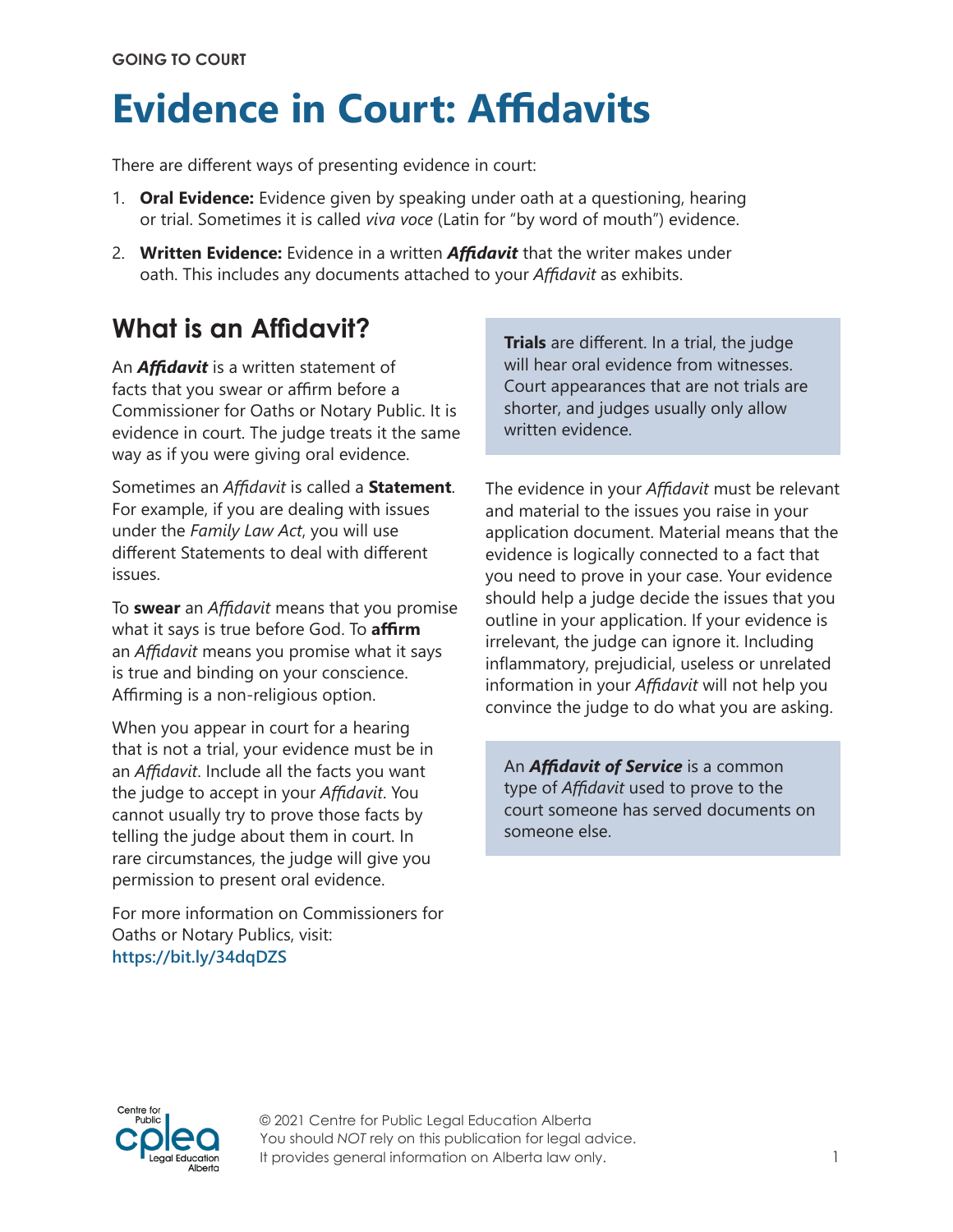# **Evidence in Court: Affidavits**

There are different ways of presenting evidence in court:

- 1. **Oral Evidence:** Evidence given by speaking under oath at a questioning, hearing or trial. Sometimes it is called *viva voce* (Latin for "by word of mouth") evidence.
- 2. **Written Evidence:** Evidence in a written *Affidavit* that the writer makes under oath. This includes any documents attached to your *Affidavit* as exhibits.

# **What is an Affidavit?**

An *Affidavit* is a written statement of facts that you swear or affirm before a Commissioner for Oaths or Notary Public. It is evidence in court. The judge treats it the same way as if you were giving oral evidence.

Sometimes an *Affidavit* is called a **Statement**. For example, if you are dealing with issues under the *Family Law Act*, you will use different Statements to deal with different issues.

To **swear** an *Affidavit* means that you promise what it says is true before God. To **affirm** an *Affidavit* means you promise what it says is true and binding on your conscience. Affirming is a non-religious option.

When you appear in court for a hearing that is not a trial, your evidence must be in an *Affidavit*. Include all the facts you want the judge to accept in your *Affidavit*. You cannot usually try to prove those facts by telling the judge about them in court. In rare circumstances, the judge will give you permission to present oral evidence.

For more information on Commissioners for Oaths or Notary Publics, visit: **<https://bit.ly/34dqDZS>**

**Trials** are different. In a trial, the judge will hear oral evidence from witnesses. Court appearances that are not trials are shorter, and judges usually only allow written evidence.

The evidence in your *Affidavit* must be relevant and material to the issues you raise in your application document. Material means that the evidence is logically connected to a fact that you need to prove in your case. Your evidence should help a judge decide the issues that you outline in your application. If your evidence is irrelevant, the judge can ignore it. Including inflammatory, prejudicial, useless or unrelated information in your *Affidavit* will not help you convince the judge to do what you are asking.

An *Affidavit of Service* is a common type of *Affidavit* used to prove to the court someone has served documents on someone else.

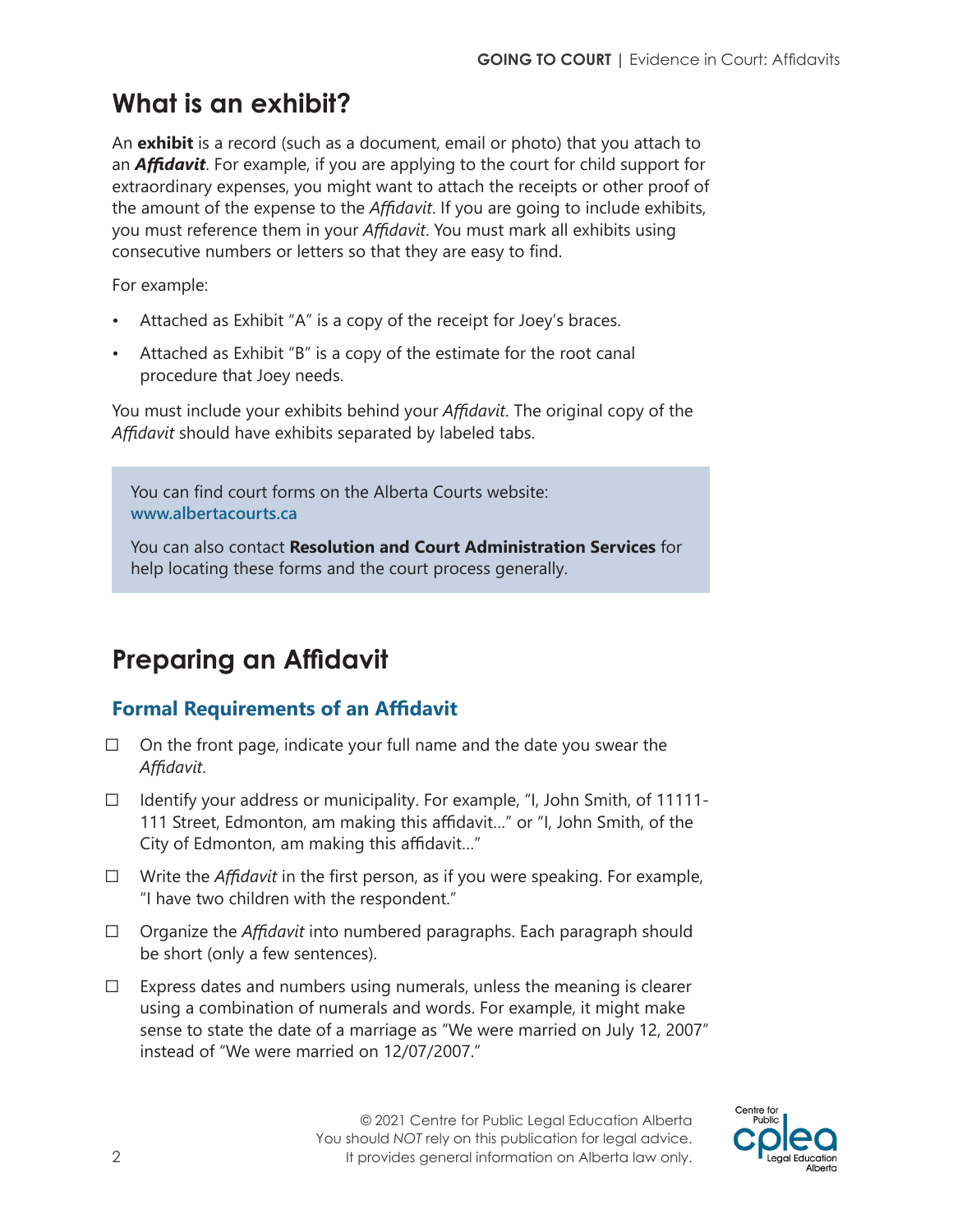# **What is an exhibit?**

An **exhibit** is a record (such as a document, email or photo) that you attach to an *Affidavit*. For example, if you are applying to the court for child support for extraordinary expenses, you might want to attach the receipts or other proof of the amount of the expense to the *Affidavit*. If you are going to include exhibits, you must reference them in your *Affidavit*. You must mark all exhibits using consecutive numbers or letters so that they are easy to find.

For example:

- Attached as Exhibit "A" is a copy of the receipt for Joey's braces.
- Attached as Exhibit "B" is a copy of the estimate for the root canal procedure that Joey needs.

You must include your exhibits behind your *Affidavit*. The original copy of the *Affidavit* should have exhibits separated by labeled tabs.

You can find court forms on the Alberta Courts website: **[www.albertacourts.ca](http://www.albertacourts.ca)**

You can also contact **Resolution and Court Administration Services** for help locating these forms and the court process generally.

# **Preparing an Affidavit**

# **Formal Requirements of an Affidavit**

- $\Box$  On the front page, indicate your full name and the date you swear the *Affidavit*.
- $\Box$  Identify your address or municipality. For example, "I, John Smith, of 11111-111 Street, Edmonton, am making this affidavit…" or "I, John Smith, of the City of Edmonton, am making this affidavit…"
- ⃣ Write the *Affidavit* in the first person, as if you were speaking. For example, "I have two children with the respondent."
- ⃣ Organize the *Affidavit* into numbered paragraphs. Each paragraph should be short (only a few sentences).
- $\Box$  Express dates and numbers using numerals, unless the meaning is clearer using a combination of numerals and words. For example, it might make sense to state the date of a marriage as "We were married on July 12, 2007" instead of "We were married on 12/07/2007."

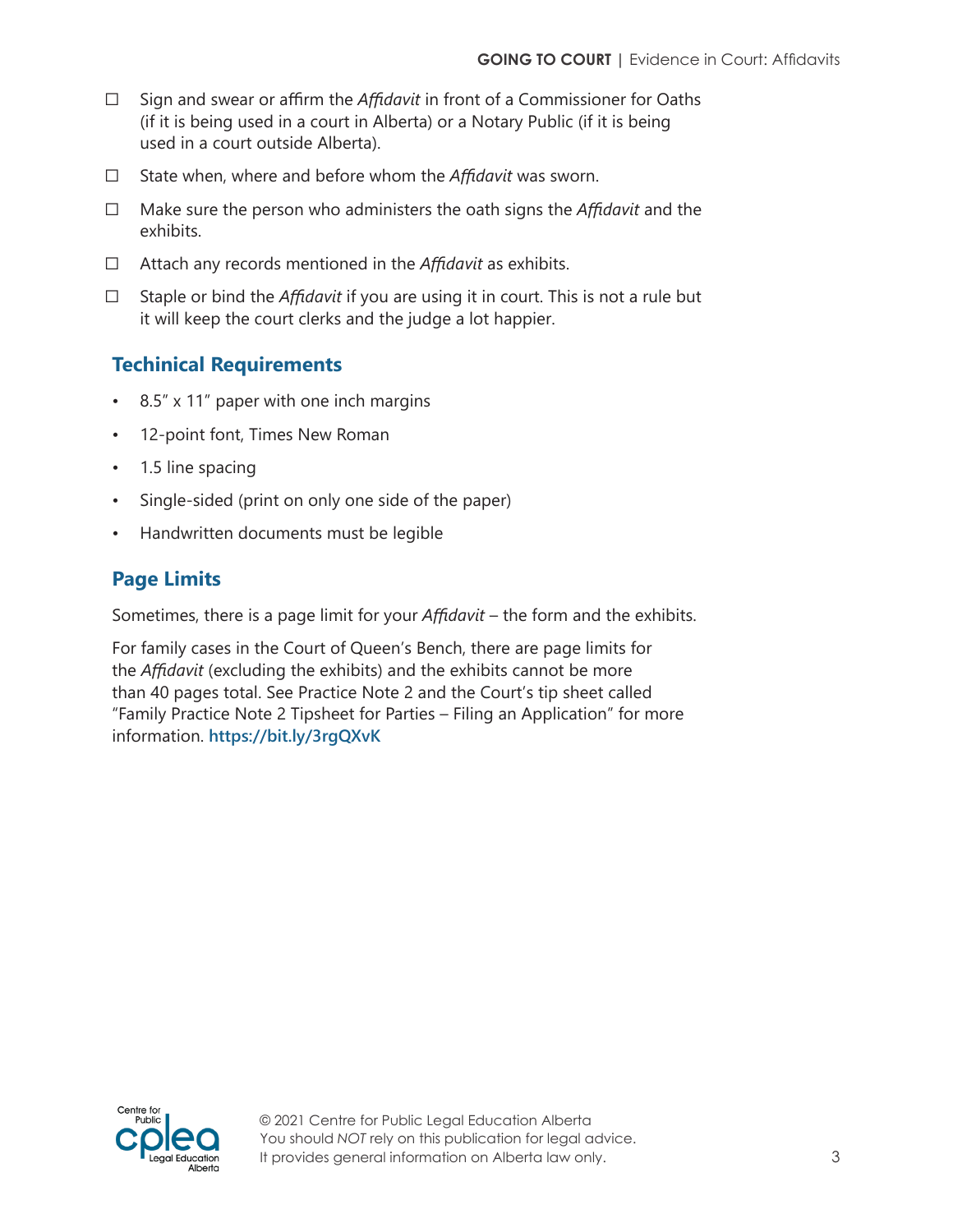- ⃣ Sign and swear or affirm the *Affidavit* in front of a Commissioner for Oaths (if it is being used in a court in Alberta) or a Notary Public (if it is being used in a court outside Alberta).
- ⃣ State when, where and before whom the *Affidavit* was sworn.
- ⃣ Make sure the person who administers the oath signs the *Affidavit* and the exhibits.
- ⃣ Attach any records mentioned in the *Affidavit* as exhibits.
- ⃣ Staple or bind the *Affidavit* if you are using it in court. This is not a rule but it will keep the court clerks and the judge a lot happier.

# **Techinical Requirements**

- 8.5" x 11" paper with one inch margins
- 12-point font, Times New Roman
- 1.5 line spacing
- Single-sided (print on only one side of the paper)
- Handwritten documents must be legible

# **Page Limits**

Sometimes, there is a page limit for your *Affidavit* – the form and the exhibits.

For family cases in the Court of Queen's Bench, there are page limits for the *Affidavit* (excluding the exhibits) and the exhibits cannot be more than 40 pages total. See Practice Note 2 and the Court's tip sheet called "Family Practice Note 2 Tipsheet for Parties – Filing an Application" for more information. **<https://bit.ly/3rgQXvK>**